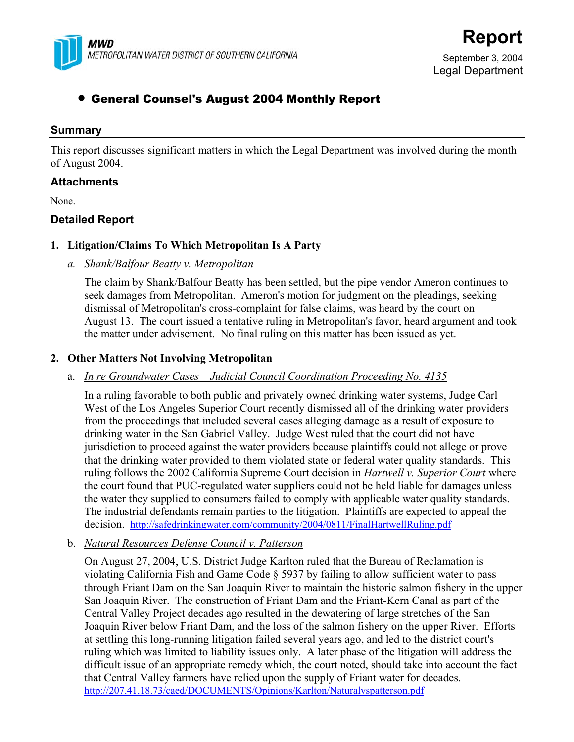

September 3, 2004 Legal Department

# • General Counsel's August 2004 Monthly Report

#### **Summary**

This report discusses significant matters in which the Legal Department was involved during the month of August 2004.

#### **Attachments**

None.

## **Detailed Report**

#### **1. Litigation/Claims To Which Metropolitan Is A Party**

*a. Shank/Balfour Beatty v. Metropolitan* 

The claim by Shank/Balfour Beatty has been settled, but the pipe vendor Ameron continues to seek damages from Metropolitan. Ameron's motion for judgment on the pleadings, seeking dismissal of Metropolitan's cross-complaint for false claims, was heard by the court on August 13. The court issued a tentative ruling in Metropolitan's favor, heard argument and took the matter under advisement. No final ruling on this matter has been issued as yet.

### **2. Other Matters Not Involving Metropolitan**

#### a. *In re Groundwater Cases – Judicial Council Coordination Proceeding No. 4135*

In a ruling favorable to both public and privately owned drinking water systems, Judge Carl West of the Los Angeles Superior Court recently dismissed all of the drinking water providers from the proceedings that included several cases alleging damage as a result of exposure to drinking water in the San Gabriel Valley. Judge West ruled that the court did not have jurisdiction to proceed against the water providers because plaintiffs could not allege or prove that the drinking water provided to them violated state or federal water quality standards. This ruling follows the 2002 California Supreme Court decision in *Hartwell v. Superior Court* where the court found that PUC-regulated water suppliers could not be held liable for damages unless the water they supplied to consumers failed to comply with applicable water quality standards. The industrial defendants remain parties to the litigation. Plaintiffs are expected to appeal the decision. http://safedrinkingwater.com/community/2004/0811/FinalHartwellRuling.pdf

b. *Natural Resources Defense Council v. Patterson*

On August 27, 2004, U.S. District Judge Karlton ruled that the Bureau of Reclamation is violating California Fish and Game Code § 5937 by failing to allow sufficient water to pass through Friant Dam on the San Joaquin River to maintain the historic salmon fishery in the upper San Joaquin River. The construction of Friant Dam and the Friant-Kern Canal as part of the Central Valley Project decades ago resulted in the dewatering of large stretches of the San Joaquin River below Friant Dam, and the loss of the salmon fishery on the upper River. Efforts at settling this long-running litigation failed several years ago, and led to the district court's ruling which was limited to liability issues only. A later phase of the litigation will address the difficult issue of an appropriate remedy which, the court noted, should take into account the fact that Central Valley farmers have relied upon the supply of Friant water for decades. http://207.41.18.73/caed/DOCUMENTS/Opinions/Karlton/Naturalvspatterson.pdf